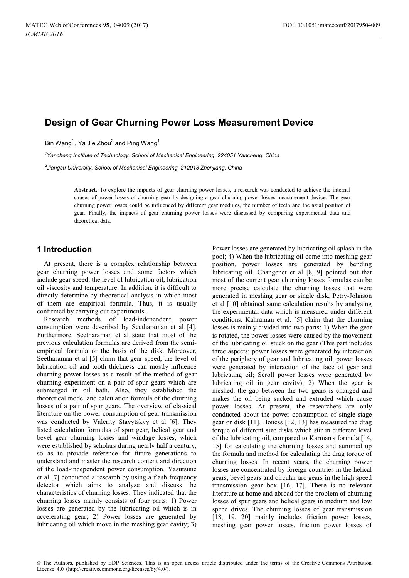# **Design of Gear Churning Power Loss Measurement Device**

Bin Wang $^1$ , Ya Jie Zhou $^2$  and Ping Wang $^1$ 

<sup>1</sup>Yancheng Institute of Technology, School of Mechanical Engineering, 224051 Yancheng, China *Yancheng Institute of Technology, School of Mechanical Engineering, 224051 Yancheng, China* 

*2 Jiangsu University, School of Mechanical Engineering, 212013 Zhenjiang, China* 

> **Abstract.** To explore the impacts of gear churning power losses, a research was conducted to achieve the internal causes of power losses of churning gear by designing a gear churning power losses measurement device. The gear churning power losses could be influenced by different gear modules, the number of teeth and the axial position of gear. Finally, the impacts of gear churning power losses were discussed by comparing experimental data and theoretical data.

### **1 Introduction**

At present, there is a complex relationship between gear churning power losses and some factors which include gear speed, the level of lubrication oil, lubrication oil viscosity and temperature. In addition, it is difficult to directly determine by theoretical analysis in which most of them are empirical formula. Thus, it is usually confirmed by carrying out experiments.

Research methods of load-independent power consumption were described by Seetharaman et al [4]. Furthermore, Seetharaman et al state that most of the previous calculation formulas are derived from the semiempirical formula or the basis of the disk. Moreover, Seetharaman et al [5] claim that gear speed, the level of lubrication oil and tooth thickness can mostly influence churning power losses as a result of the method of gear churning experiment on a pair of spur gears which are submerged in oil bath. Also, they established the theoretical model and calculation formula of the churning losses of a pair of spur gears. The overview of classical literature on the power consumption of gear transmission was conducted by Valerity Stavytskyy et al [6]. They listed calculation formulas of spur gear, helical gear and bevel gear churning losses and windage losses, which were established by scholars during nearly half a century, so as to provide reference for future generations to understand and master the research content and direction of the load-independent power consumption. Yasutsune et al [7] conducted a research by using a flash frequency detector which aims to analyze and discuss the characteristics of churning losses. They indicated that the churning losses mainly consists of four parts: 1) Power losses are generated by the lubricating oil which is in accelerating gear; 2) Power losses are generated by lubricating oil which move in the meshing gear cavity; 3)

Power losses are generated by lubricating oil splash in the pool; 4) When the lubricating oil come into meshing gear position, power losses are generated by bending lubricating oil. Changenet et al [8, 9] pointed out that most of the current gear churning losses formulas can be more precise calculate the churning losses that were generated in meshing gear or single disk, Petry-Johnson et al [10] obtained same calculation results by analysing the experimental data which is measured under different conditions. Kahraman et al. [5] claim that the churning losses is mainly divided into two parts: 1) When the gear is rotated, the power losses were caused by the movement of the lubricating oil stuck on the gear (This part includes three aspects: power losses were generated by interaction of the periphery of gear and lubricating oil; power losses were generated by interaction of the face of gear and lubricating oil; Scroll power losses were generated by lubricating oil in gear cavity); 2) When the gear is meshed, the gap between the two gears is changed and makes the oil being sucked and extruded which cause power losses. At present, the researchers are only conducted about the power consumption of single-stage gear or disk [11]. Boness [12, 13] has measured the drag torque of different size disks which stir in different level of the lubricating oil, compared to Karman's formula [14, 15] for calculating the churning losses and summed up the formula and method for calculating the drag torque of churning losses. In recent years, the churning power losses are concentrated by foreign countries in the helical gears, bevel gears and circular arc gears in the high speed transmission gear box [16, 17]. There is no relevant literature at home and abroad for the problem of churning losses of spur gears and helical gears in medium and low speed drives. The churning losses of gear transmission [18, 19, 20] mainly includes friction power losses, meshing gear power losses, friction power losses of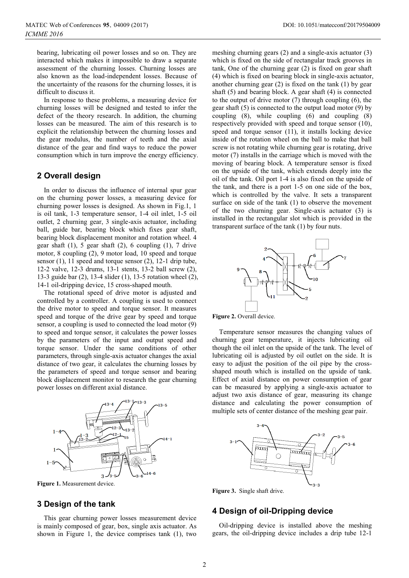bearing, lubricating oil power losses and so on. They are interacted which makes it impossible to draw a separate assessment of the churning losses. Churning losses are also known as the load-independent losses. Because of the uncertainty of the reasons for the churning losses, it is difficult to discuss it.

In response to these problems, a measuring device for churning losses will be designed and tested to infer the defect of the theory research. In addition, the churning losses can be measured. The aim of this research is to explicit the relationship between the churning losses and the gear modulus, the number of teeth and the axial distance of the gear and find ways to reduce the power consumption which in turn improve the energy efficiency.

# **2 Overall design**

In order to discuss the influence of internal spur gear on the churning power losses, a measuring device for churning power losses is designed. As shown in Fig.1, 1 is oil tank, 1-3 temperature sensor, 1-4 oil inlet, 1-5 oil outlet, 2 churning gear, 3 single-axis actuator, including ball, guide bar, bearing block which fixes gear shaft, bearing block displacement monitor and rotation wheel. 4 gear shaft  $(1)$ , 5 gear shaft  $(2)$ , 6 coupling  $(1)$ , 7 drive motor, 8 coupling (2), 9 motor load, 10 speed and torque sensor (1), 11 speed and torque sensor (2), 12-1 drip tube, 12-2 valve, 12-3 drums, 13-1 stents, 13-2 ball screw (2), 13-3 guide bar (2), 13-4 slider (1), 13-5 rotation wheel (2), 14-1 oil-dripping device, 15 cross-shaped mouth.

The rotational speed of drive motor is adjusted and controlled by a controller. A coupling is used to connect the drive motor to speed and torque sensor. It measures speed and torque of the drive gear by speed and torque sensor, a coupling is used to connected the load motor (9) to speed and torque sensor, it calculates the power losses by the parameters of the input and output speed and torque sensor. Under the same conditions of other parameters, through single-axis actuator changes the axial distance of two gear, it calculates the churning losses by the parameters of speed and torque sensor and bearing block displacement monitor to research the gear churning power losses on different axial distance.



**Figure 1.** Measurement device.

### **3 Design of the tank**

This gear churning power losses measurement device is mainly composed of gear, box, single axis actuator. As shown in Figure 1, the device comprises tank (1), two

meshing churning gears (2) and a single-axis actuator (3) which is fixed on the side of rectangular track grooves in tank, One of the churning gear (2) is fixed on gear shaft (4) which is fixed on bearing block in single-axis actuator, another churning gear (2) is fixed on the tank (1) by gear shaft (5) and bearing block. A gear shaft (4) is connected to the output of drive motor (7) through coupling (6), the gear shaft (5) is connected to the output load motor (9) by coupling (8), while coupling (6) and coupling (8) respectively provided with speed and torque sensor (10), speed and torque sensor (11), it installs locking device inside of the rotation wheel on the ball to make that ball screw is not rotating while churning gear is rotating, drive motor (7) installs in the carriage which is moved with the moving of bearing block. A temperature sensor is fixed on the upside of the tank, which extends deeply into the oil of the tank. Oil port 1-4 is also fixed on the upside of the tank, and there is a port 1-5 on one side of the box, which is controlled by the valve. It sets a transparent surface on side of the tank (1) to observe the movement of the two churning gear. Single-axis actuator (3) is installed in the rectangular slot which is provided in the transparent surface of the tank (1) by four nuts.



Figure 2. Overall device.

Temperature sensor measures the changing values of churning gear temperature, it injects lubricating oil though the oil inlet on the upside of the tank. The level of lubricating oil is adjusted by oil outlet on the side. It is easy to adjust the position of the oil pipe by the crossshaped mouth which is installed on the upside of tank. Effect of axial distance on power consumption of gear can be measured by applying a single-axis actuator to adjust two axis distance of gear, measuring its change distance and calculating the power consumption of multiple sets of center distance of the meshing gear pair.



**Figure 3.** Single shaft drive.

# **4 Design of oil-Dripping device**

Oil-dripping device is installed above the meshing gears, the oil-dripping device includes a drip tube 12-1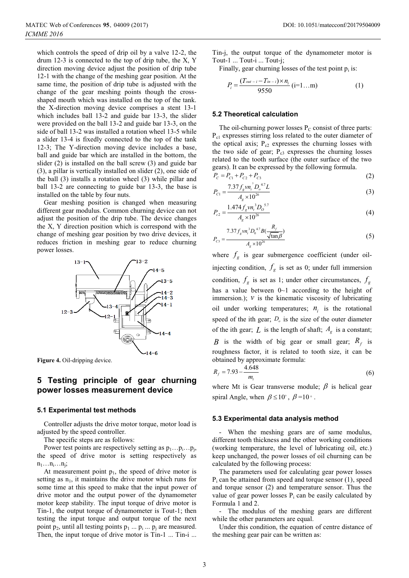which controls the speed of drip oil by a valve 12-2, the drum 12-3 is connected to the top of drip tube, the X, Y direction moving device adjust the position of drip tube 12-1 with the change of the meshing gear position. At the same time, the position of drip tube is adjusted with the change of the gear meshing points though the crossshaped mouth which was installed on the top of the tank. the X-direction moving device comprises a stent 13-1 which includes ball 13-2 and guide bar 13-3, the slider were provided on the ball 13-2 and guide bar 13-3, on the side of ball 13-2 was installed a rotation wheel 13-5 while a slider 13-4 is fixedly connected to the top of the tank 12-3; The Y-direction moving device includes a base, ball and guide bar which are installed in the bottom, the slider (2) is installed on the ball screw (3) and guide bar (3), a pillar is vertically installed on slider (2), one side of the ball (3) installs a rotation wheel (3) while pillar and ball 13-2 are connecting to guide bar 13-3, the base is installed on the table by four nuts.

Gear meshing position is changed when measuring different gear modulus. Common churning device can not adjust the position of the drip tube. The device changes the X, Y direction position which is correspond with the change of meshing gear position by two drive devices, it reduces friction in meshing gear to reduce churning power losses.



**Figure 4.** Oil-dripping device.

# **5 Testing principle of gear churning power losses measurement device**

#### **5.1 Experimental test methods**

Controller adjusts the drive motor torque, motor load is adjusted by the speed controller.

The specific steps are as follows:

Power test points are respectively setting as  $p_1...p_i...p_j$ , the speed of drive motor is setting respectively as  $n_1 \ldots n_i \ldots n_i;$ 

At measurement point  $p_1$ , the speed of drive motor is setting as  $n_1$ , it maintains the drive motor which runs for some time at this speed to make that the input power of drive motor and the output power of the dynamometer motor keep stability. The input torque of drive motor is Tin-1, the output torque of dynamometer is Tout-1; then testing the input torque and output torque of the next point  $p_2$ , until all testing points  $p_1 \dots p_i \dots p_j$  are measured. Then, the input torque of drive motor is Tin-1 ... Tin-i ... Tin-j, the output torque of the dynamometer motor is Tout-1 ... Tout-i ... Tout-j;

Finally, gear churning losses of the test point  $p_i$  is:

$$
P_i = \frac{(T_{out-i} - T_{in-i}) \times n_i}{9550} (i=1...m)
$$
 (1)

#### **5.2 Theoretical calculation**

The oil-churning power losses  $P_C$  consist of three parts: P<sub>c1</sub> expresses stirring loss related to the outer diameter of the optical axis;  $P_{c2}$  expresses the churning losses with the two side of gear;  $P_{c3}$  expresses the churning losses related to the tooth surface (the outer surface of the two gears). It can be expressed by the following formula.

$$
P_C = P_{C1} + P_{C2} + P_{C3}
$$
  
7.37 f y n<sup>3</sup> D<sup>4.7</sup> J (2)

$$
P_{C1} = \frac{7.37 f_g v n_i D_o^{4.7} L}{A_g \times 10^{26}}
$$
 (3)

$$
P_{c2} = \frac{1.474 f_g v n_i^3 D_o^{5.7}}{A_g \times 10^{26}}
$$
 (4)

$$
P_{cs} = \frac{7.37 f_s v n_i^3 D_0^{4.7} B(\frac{R_f}{\sqrt{\tan \beta}})}{A_g \times 10^{26}}
$$
(5)

where  $f_g$  is gear submergence coefficient (under oilinjecting condition,  $f_g$  is set as 0; under full immersion condition,  $f_g$  is set as 1; under other circumstances,  $f_g$ has a value between  $0~1$  according to the height of immersion.);  $\nu$  is the kinematic viscosity of lubricating oil under working temperatures;  $n_i$  is the rotational speed of the ith gear;  $D<sub>o</sub>$  is the size of the outer diameter of the ith gear;  $L$  is the length of shaft;  $A_g$  is a constant; *B* is the width of big gear or small gear;  $R_f$  is roughness factor, it is related to tooth size, it can be obtained by approximate formula:

$$
R_f = 7.93 - \frac{4.648}{m_t} \tag{6}
$$

where Mt is Gear transverse module;  $\beta$  is helical gear spiral Angle, when  $\beta \le 10^\circ$ ,  $\beta = 10^\circ$ .

#### **5.3 Experimental data analysis method**

- When the meshing gears are of same modulus, different tooth thickness and the other working conditions (working temperature, the level of lubricating oil, etc.) keep unchanged, the power losses of oil churning can be calculated by the following process:

The parameters used for calculating gear power losses  $P_i$  can be attained from speed and torque sensor (1), speed and torque sensor (2) and temperature sensor. Thus the value of gear power losses  $P_i$  can be easily calculated by Formula 1 and 2.

- The modulus of the meshing gears are different while the other parameters are equal.

Under this condition, the equation of centre distance of the meshing gear pair can be written as: